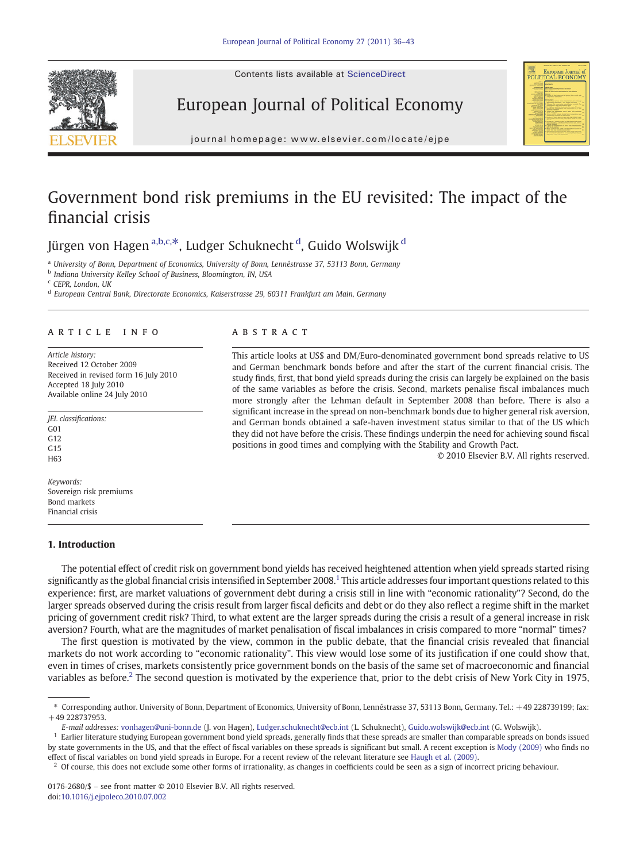

Contents lists available at ScienceDirect

# European Journal of Political Economy



journal homepage: www.elsevier.com/locate/eipe j o u r n a g e p a g e  $\mathbf{r}$  ev i e  $\mathbf{r}$ . c om  $\mathbf{r}$  even  $\mathbf{r}$  becomes  $\mathbf{r}$ 

## Government bond risk premiums in the EU revisited: The impact of the financial crisis

Jürgen von Hagen <sup>a,b,c,\*</sup>, Ludger Schuknecht <sup>d</sup>, Guido Wolswijk <sup>d</sup>

<sup>a</sup> University of Bonn, Department of Economics, University of Bonn, Lennéstrasse 37, 53113 Bonn, Germany

**b** Indiana University Kelley School of Business, Bloomington, IN, USA

<sup>c</sup> CEPR, London, UK

<sup>d</sup> European Central Bank, Directorate Economics, Kaiserstrasse 29, 60311 Frankfurt am Main, Germany

### article info abstract

Article history: Received 12 October 2009 Received in revised form 16 July 2010 Accepted 18 July 2010 Available online 24 July 2010

JEL classifications:  $G<sub>01</sub>$  $G<sub>12</sub>$  $G15$ 

H63

Keywords: Sovereign risk premiums Bond markets Financial crisis

#### 1. Introduction

This article looks at US\$ and DM/Euro-denominated government bond spreads relative to US and German benchmark bonds before and after the start of the current financial crisis. The study finds, first, that bond yield spreads during the crisis can largely be explained on the basis of the same variables as before the crisis. Second, markets penalise fiscal imbalances much more strongly after the Lehman default in September 2008 than before. There is also a significant increase in the spread on non-benchmark bonds due to higher general risk aversion, and German bonds obtained a safe-haven investment status similar to that of the US which they did not have before the crisis. These findings underpin the need for achieving sound fiscal positions in good times and complying with the Stability and Growth Pact.

© 2010 Elsevier B.V. All rights reserved.

The potential effect of credit risk on government bond yields has received heightened attention when yield spreads started rising significantly as the global financial crisis intensified in September 2008.1 This article addresses four important questions related to this experience: first, are market valuations of government debt during a crisis still in line with "economic rationality"? Second, do the larger spreads observed during the crisis result from larger fiscal deficits and debt or do they also reflect a regime shift in the market pricing of government credit risk? Third, to what extent are the larger spreads during the crisis a result of a general increase in risk aversion? Fourth, what are the magnitudes of market penalisation of fiscal imbalances in crisis compared to more "normal" times?

The first question is motivated by the view, common in the public debate, that the financial crisis revealed that financial markets do not work according to "economic rationality". This view would lose some of its justification if one could show that, even in times of crises, markets consistently price government bonds on the basis of the same set of macroeconomic and financial variables as before.2 The second question is motivated by the experience that, prior to the debt crisis of New York City in 1975,

<sup>⁎</sup> Corresponding author. University of Bonn, Department of Economics, University of Bonn, Lennéstrasse 37, 53113 Bonn, Germany. Tel.: +49 228739199; fax: +49 228737953.

E-mail addresses: [vonhagen@uni-bonn.de](mailto:vonhagen@uni-bonn.de) (J. von Hagen), [Ludger.schuknecht@ecb.int](mailto:Ludger.schuknecht@ecb.int) (L. Schuknecht), [Guido.wolswijk@ecb.int](mailto:Guido.wolswijk@ecb.int) (G. Wolswijk).

 $<sup>1</sup>$  Earlier literature studying European government bond yield spreads, generally finds that these spreads are smaller than comparable spreads on bonds issued</sup> by state governments in the US, and that the effect of fiscal variables on these spreads is significant but small. A recent exception is [Mody \(2009\)](#page--1-0) who finds no effect of fiscal variables on bond yield spreads in Europe. For a recent review of the relevant literature see [Haugh et al. \(2009\)](#page--1-0).

 $<sup>2</sup>$  Of course, this does not exclude some other forms of irrationality, as changes in coefficients could be seen as a sign of incorrect pricing behaviour.</sup>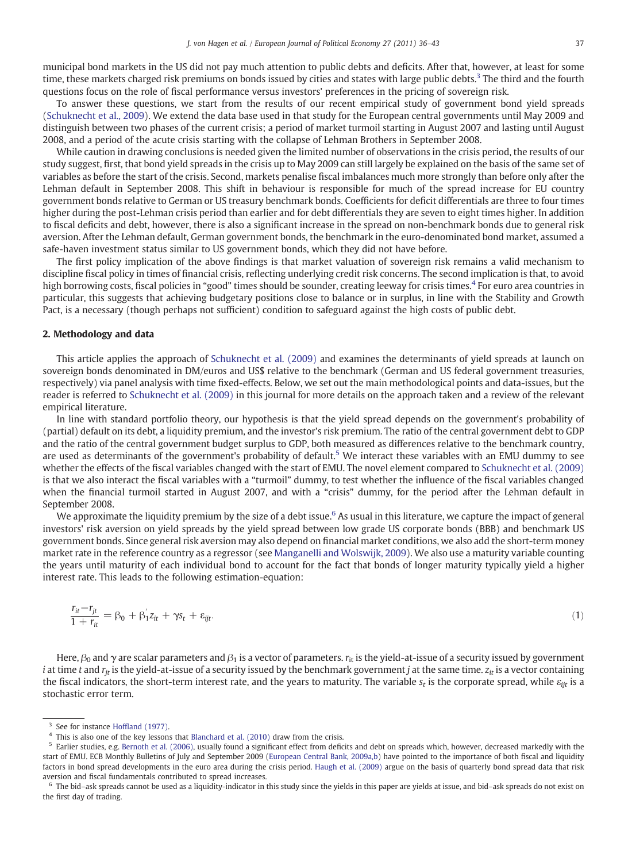municipal bond markets in the US did not pay much attention to public debts and deficits. After that, however, at least for some time, these markets charged risk premiums on bonds issued by cities and states with large public debts.<sup>3</sup> The third and the fourth questions focus on the role of fiscal performance versus investors' preferences in the pricing of sovereign risk.

To answer these questions, we start from the results of our recent empirical study of government bond yield spreads [\(Schuknecht et al., 2009](#page--1-0)). We extend the data base used in that study for the European central governments until May 2009 and distinguish between two phases of the current crisis; a period of market turmoil starting in August 2007 and lasting until August 2008, and a period of the acute crisis starting with the collapse of Lehman Brothers in September 2008.

While caution in drawing conclusions is needed given the limited number of observations in the crisis period, the results of our study suggest, first, that bond yield spreads in the crisis up to May 2009 can still largely be explained on the basis of the same set of variables as before the start of the crisis. Second, markets penalise fiscal imbalances much more strongly than before only after the Lehman default in September 2008. This shift in behaviour is responsible for much of the spread increase for EU country government bonds relative to German or US treasury benchmark bonds. Coefficients for deficit differentials are three to four times higher during the post-Lehman crisis period than earlier and for debt differentials they are seven to eight times higher. In addition to fiscal deficits and debt, however, there is also a significant increase in the spread on non-benchmark bonds due to general risk aversion. After the Lehman default, German government bonds, the benchmark in the euro-denominated bond market, assumed a safe-haven investment status similar to US government bonds, which they did not have before.

The first policy implication of the above findings is that market valuation of sovereign risk remains a valid mechanism to discipline fiscal policy in times of financial crisis, reflecting underlying credit risk concerns. The second implication is that, to avoid high borrowing costs, fiscal policies in "good" times should be sounder, creating leeway for crisis times.<sup>4</sup> For euro area countries in particular, this suggests that achieving budgetary positions close to balance or in surplus, in line with the Stability and Growth Pact, is a necessary (though perhaps not sufficient) condition to safeguard against the high costs of public debt.

#### 2. Methodology and data

This article applies the approach of [Schuknecht et al. \(2009\)](#page--1-0) and examines the determinants of yield spreads at launch on sovereign bonds denominated in DM/euros and US\$ relative to the benchmark (German and US federal government treasuries, respectively) via panel analysis with time fixed-effects. Below, we set out the main methodological points and data-issues, but the reader is referred to [Schuknecht et al. \(2009\)](#page--1-0) in this journal for more details on the approach taken and a review of the relevant empirical literature.

In line with standard portfolio theory, our hypothesis is that the yield spread depends on the government's probability of (partial) default on its debt, a liquidity premium, and the investor's risk premium. The ratio of the central government debt to GDP and the ratio of the central government budget surplus to GDP, both measured as differences relative to the benchmark country, are used as determinants of the government's probability of default.<sup>5</sup> We interact these variables with an EMU dummy to see whether the effects of the fiscal variables changed with the start of EMU. The novel element compared to [Schuknecht et al. \(2009\)](#page--1-0) is that we also interact the fiscal variables with a "turmoil" dummy, to test whether the influence of the fiscal variables changed when the financial turmoil started in August 2007, and with a "crisis" dummy, for the period after the Lehman default in September 2008.

We approximate the liquidity premium by the size of a debt issue.<sup>6</sup> As usual in this literature, we capture the impact of general investors' risk aversion on yield spreads by the yield spread between low grade US corporate bonds (BBB) and benchmark US government bonds. Since general risk aversion may also depend on financial market conditions, we also add the short-term money market rate in the reference country as a regressor (see [Manganelli and Wolswijk, 2009\)](#page--1-0). We also use a maturity variable counting the years until maturity of each individual bond to account for the fact that bonds of longer maturity typically yield a higher interest rate. This leads to the following estimation-equation:

$$
\frac{r_{it} - r_{jt}}{1 + r_{it}} = \beta_0 + \beta_1' z_{it} + \gamma s_t + \varepsilon_{ijt}.
$$
\n
$$
\tag{1}
$$

Here,  $\beta_0$  and  $\gamma$  are scalar parameters and  $\beta_1$  is a vector of parameters.  $r_{ir}$  is the yield-at-issue of a security issued by government *i* at time t and  $r_{it}$  is the yield-at-issue of a security issued by the benchmark government *j* at the same time.  $z_{it}$  is a vector containing the fiscal indicators, the short-term interest rate, and the years to maturity. The variable  $s_t$  is the corporate spread, while  $\varepsilon_{it}$  is a stochastic error term.

 $\overline{3}$  See for instance Hoffl[and \(1977\).](#page--1-0)

<sup>&</sup>lt;sup>4</sup> This is also one of the key lessons that [Blanchard et al. \(2010\)](#page--1-0) draw from the crisis.

Earlier studies, e.g. [Bernoth et al. \(2006\),](#page--1-0) usually found a significant effect from deficits and debt on spreads which, however, decreased markedly with the start of EMU. ECB Monthly Bulletins of July and September 2009 ([European Central Bank, 2009a,b](#page--1-0)) have pointed to the importance of both fiscal and liquidity factors in bond spread developments in the euro area during the crisis period. [Haugh et al. \(2009\)](#page--1-0) argue on the basis of quarterly bond spread data that risk aversion and fiscal fundamentals contributed to spread increases.

<sup>6</sup> The bid–ask spreads cannot be used as a liquidity-indicator in this study since the yields in this paper are yields at issue, and bid–ask spreads do not exist on the first day of trading.